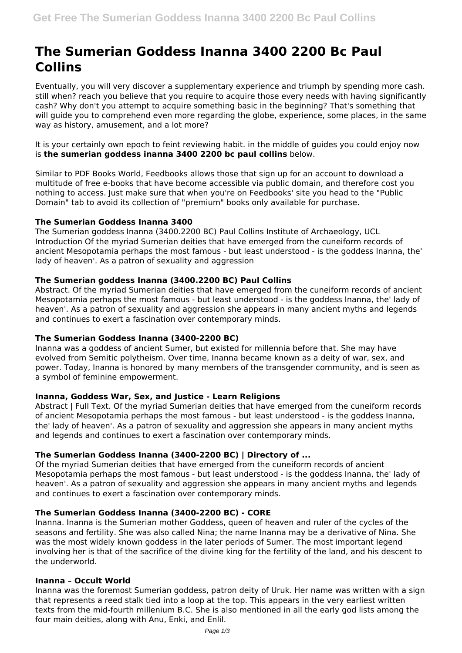# **The Sumerian Goddess Inanna 3400 2200 Bc Paul Collins**

Eventually, you will very discover a supplementary experience and triumph by spending more cash. still when? reach you believe that you require to acquire those every needs with having significantly cash? Why don't you attempt to acquire something basic in the beginning? That's something that will guide you to comprehend even more regarding the globe, experience, some places, in the same way as history, amusement, and a lot more?

It is your certainly own epoch to feint reviewing habit. in the middle of guides you could enjoy now is **the sumerian goddess inanna 3400 2200 bc paul collins** below.

Similar to PDF Books World, Feedbooks allows those that sign up for an account to download a multitude of free e-books that have become accessible via public domain, and therefore cost you nothing to access. Just make sure that when you're on Feedbooks' site you head to the "Public Domain" tab to avoid its collection of "premium" books only available for purchase.

## **The Sumerian Goddess Inanna 3400**

The Sumerian goddess Inanna (3400.2200 BC) Paul Collins Institute of Archaeology, UCL Introduction Of the myriad Sumerian deities that have emerged from the cuneiform records of ancient Mesopotamia perhaps the most famous - but least understood - is the goddess Inanna, the' lady of heaven'. As a patron of sexuality and aggression

## **The Sumerian goddess Inanna (3400.2200 BC) Paul Collins**

Abstract. Of the myriad Sumerian deities that have emerged from the cuneiform records of ancient Mesopotamia perhaps the most famous - but least understood - is the goddess Inanna, the' lady of heaven'. As a patron of sexuality and aggression she appears in many ancient myths and legends and continues to exert a fascination over contemporary minds.

## **The Sumerian Goddess Inanna (3400-2200 BC)**

Inanna was a goddess of ancient Sumer, but existed for millennia before that. She may have evolved from Semitic polytheism. Over time, Inanna became known as a deity of war, sex, and power. Today, Inanna is honored by many members of the transgender community, and is seen as a symbol of feminine empowerment.

## **Inanna, Goddess War, Sex, and Justice - Learn Religions**

Abstract | Full Text. Of the myriad Sumerian deities that have emerged from the cuneiform records of ancient Mesopotamia perhaps the most famous - but least understood - is the goddess Inanna, the' lady of heaven'. As a patron of sexuality and aggression she appears in many ancient myths and legends and continues to exert a fascination over contemporary minds.

## **The Sumerian Goddess Inanna (3400-2200 BC) | Directory of ...**

Of the myriad Sumerian deities that have emerged from the cuneiform records of ancient Mesopotamia perhaps the most famous - but least understood - is the goddess Inanna, the' lady of heaven'. As a patron of sexuality and aggression she appears in many ancient myths and legends and continues to exert a fascination over contemporary minds.

## **The Sumerian Goddess Inanna (3400-2200 BC) - CORE**

Inanna. Inanna is the Sumerian mother Goddess, queen of heaven and ruler of the cycles of the seasons and fertility. She was also called Nina; the name Inanna may be a derivative of Nina. She was the most widely known goddess in the later periods of Sumer. The most important legend involving her is that of the sacrifice of the divine king for the fertility of the land, and his descent to the underworld.

## **Inanna – Occult World**

Inanna was the foremost Sumerian goddess, patron deity of Uruk. Her name was written with a sign that represents a reed stalk tied into a loop at the top. This appears in the very earliest written texts from the mid-fourth millenium B.C. She is also mentioned in all the early god lists among the four main deities, along with Anu, Enki, and Enlil.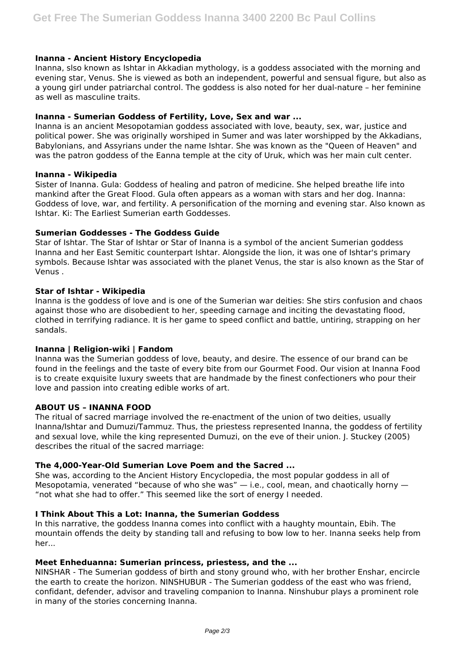### **Inanna - Ancient History Encyclopedia**

Inanna, slso known as Ishtar in Akkadian mythology, is a goddess associated with the morning and evening star, Venus. She is viewed as both an independent, powerful and sensual figure, but also as a young girl under patriarchal control. The goddess is also noted for her dual-nature – her feminine as well as masculine traits.

#### **Inanna - Sumerian Goddess of Fertility, Love, Sex and war ...**

Inanna is an ancient Mesopotamian goddess associated with love, beauty, sex, war, justice and political power. She was originally worshiped in Sumer and was later worshipped by the Akkadians, Babylonians, and Assyrians under the name Ishtar. She was known as the "Queen of Heaven" and was the patron goddess of the Eanna temple at the city of Uruk, which was her main cult center.

#### **Inanna - Wikipedia**

Sister of Inanna. Gula: Goddess of healing and patron of medicine. She helped breathe life into mankind after the Great Flood. Gula often appears as a woman with stars and her dog. Inanna: Goddess of love, war, and fertility. A personification of the morning and evening star. Also known as Ishtar. Ki: The Earliest Sumerian earth Goddesses.

#### **Sumerian Goddesses - The Goddess Guide**

Star of Ishtar. The Star of Ishtar or Star of Inanna is a symbol of the ancient Sumerian goddess Inanna and her East Semitic counterpart Ishtar. Alongside the lion, it was one of Ishtar's primary symbols. Because Ishtar was associated with the planet Venus, the star is also known as the Star of Venus .

#### **Star of Ishtar - Wikipedia**

Inanna is the goddess of love and is one of the Sumerian war deities: She stirs confusion and chaos against those who are disobedient to her, speeding carnage and inciting the devastating flood, clothed in terrifying radiance. It is her game to speed conflict and battle, untiring, strapping on her sandals.

## **Inanna | Religion-wiki | Fandom**

Inanna was the Sumerian goddess of love, beauty, and desire. The essence of our brand can be found in the feelings and the taste of every bite from our Gourmet Food. Our vision at Inanna Food is to create exquisite luxury sweets that are handmade by the finest confectioners who pour their love and passion into creating edible works of art.

#### **ABOUT US – INANNA FOOD**

The ritual of sacred marriage involved the re-enactment of the union of two deities, usually Inanna/Ishtar and Dumuzi/Tammuz. Thus, the priestess represented Inanna, the goddess of fertility and sexual love, while the king represented Dumuzi, on the eve of their union. J. Stuckey (2005) describes the ritual of the sacred marriage:

## **The 4,000-Year-Old Sumerian Love Poem and the Sacred ...**

She was, according to the Ancient History Encyclopedia, the most popular goddess in all of Mesopotamia, venerated "because of who she was" — i.e., cool, mean, and chaotically horny — "not what she had to offer." This seemed like the sort of energy I needed.

#### **I Think About This a Lot: Inanna, the Sumerian Goddess**

In this narrative, the goddess Inanna comes into conflict with a haughty mountain, Ebih. The mountain offends the deity by standing tall and refusing to bow low to her. Inanna seeks help from her...

## **Meet Enheduanna: Sumerian princess, priestess, and the ...**

NINSHAR - The Sumerian goddess of birth and stony ground who, with her brother Enshar, encircle the earth to create the horizon. NINSHUBUR - The Sumerian goddess of the east who was friend, confidant, defender, advisor and traveling companion to Inanna. Ninshubur plays a prominent role in many of the stories concerning Inanna.